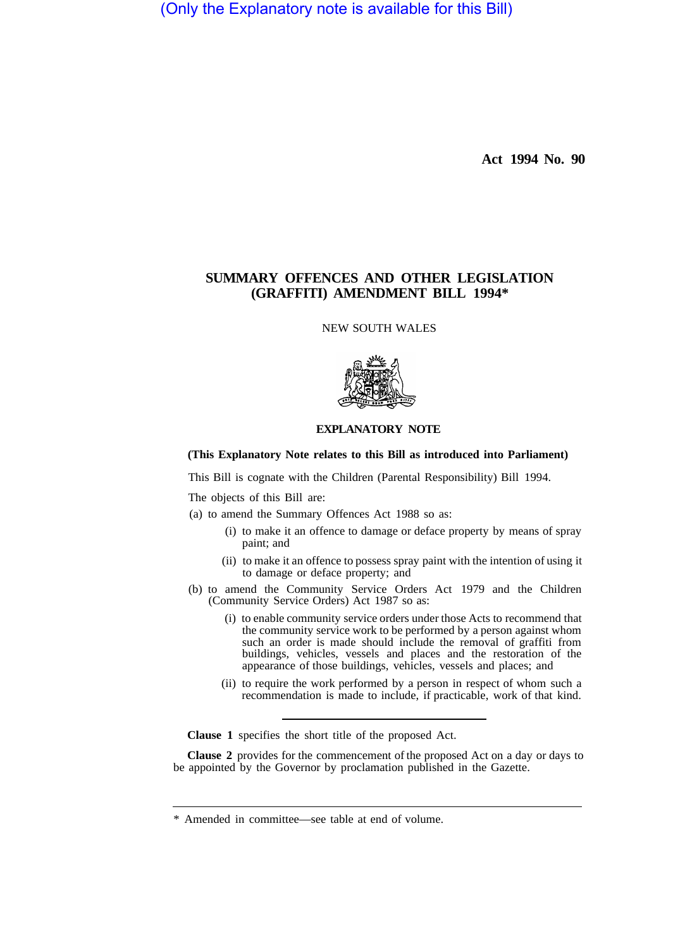(Only the Explanatory note is available for this Bill)

**Act 1994 No. 90** 

# **SUMMARY OFFENCES AND OTHER LEGISLATION (GRAFFITI) AMENDMENT BILL 1994\***

NEW SOUTH WALES



# **EXPLANATORY NOTE**

## **(This Explanatory Note relates to this Bill as introduced into Parliament)**

This Bill is cognate with the Children (Parental Responsibility) Bill 1994.

The objects of this Bill are:

(a) to amend the Summary Offences Act 1988 so as:

- (i) to make it an offence to damage or deface property by means of spray paint; and
- (ii) to make it an offence to possess spray paint with the intention of using it to damage or deface property; and
- (b) to amend the Community Service Orders Act 1979 and the Children (Community Service Orders) Act 1987 so as:
	- (i) to enable community service orders under those Acts to recommend that the community service work to be performed by a person against whom such an order is made should include the removal of graffiti from buildings, vehicles, vessels and places and the restoration of the appearance of those buildings, vehicles, vessels and places; and
	- (ii) to require the work performed by a person in respect of whom such a recommendation is made to include, if practicable, work of that kind.

**Clause 1** specifies the short title of the proposed Act.

**Clause 2** provides for the commencement of the proposed Act on a day or days to be appointed by the Governor by proclamation published in the Gazette.

<sup>\*</sup> Amended in committee—see table at end of volume.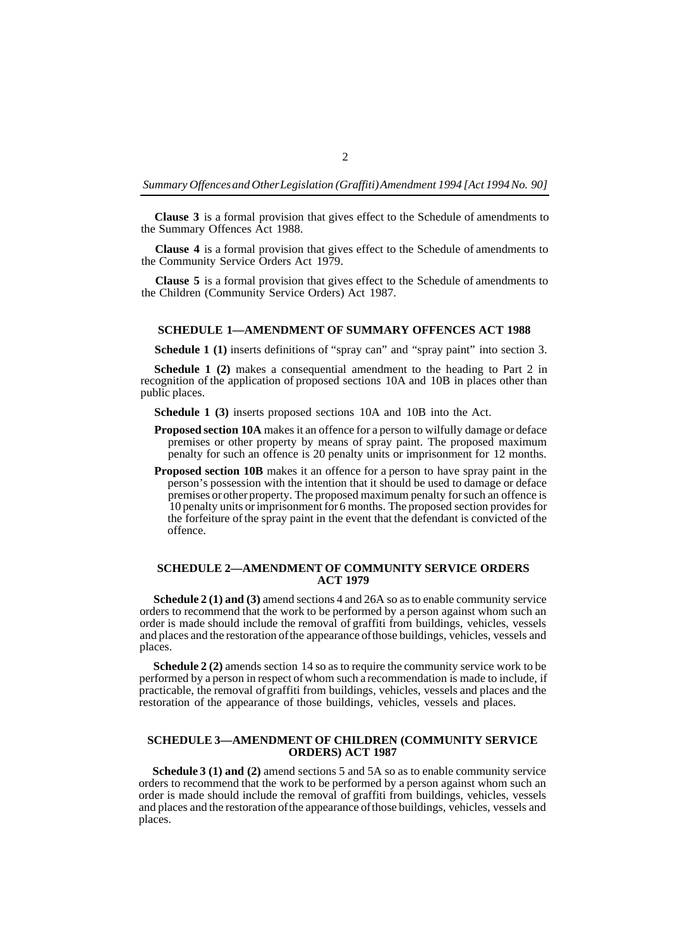*Summary Offences and Other Legislation (Graffiti) Amendment 1994 [Act 1994 No. 90]* 

**Clause 3** is a formal provision that gives effect to the Schedule of amendments to the Summary Offences Act 1988.

**Clause 4** is a formal provision that gives effect to the Schedule of amendments to the Community Service Orders Act 1979.

**Clause 5** is a formal provision that gives effect to the Schedule of amendments to the Children (Community Service Orders) Act 1987.

#### **SCHEDULE 1—AMENDMENT OF SUMMARY OFFENCES ACT 1988**

**Schedule 1 (1)** inserts definitions of "spray can" and "spray paint" into section 3.

**Schedule 1 (2)** makes a consequential amendment to the heading to Part 2 in recognition of the application of proposed sections 10A and 10B in places other than public places.

**Schedule 1 (3)** inserts proposed sections 10A and 10B into the Act.

- **Proposed section 10A** makes it an offence for a person to wilfully damage or deface premises or other property by means of spray paint. The proposed maximum penalty for such an offence is 20 penalty units or imprisonment for 12 months.
- **Proposed section 10B** makes it an offence for a person to have spray paint in the person's possession with the intention that it should be used to damage or deface premises or other property. The proposed maximum penalty for such an offence is 10 penalty units or imprisonment for 6 months. The proposed section provides for the forfeiture of the spray paint in the event that the defendant is convicted of the offence.

## **SCHEDULE 2—AMENDMENT OF COMMUNITY SERVICE ORDERS ACT 1979**

**Schedule 2 (1) and (3)** amend sections 4 and 26A so as to enable community service orders to recommend that the work to be performed by a person against whom such an order is made should include the removal of graffiti from buildings, vehicles, vessels and places and the restoration of the appearance of those buildings, vehicles, vessels and places.

**Schedule 2 (2)** amends section 14 so as to require the community service work to be performed by a person in respect of whom such a recommendation is made to include, if practicable, the removal of graffiti from buildings, vehicles, vessels and places and the restoration of the appearance of those buildings, vehicles, vessels and places.

## **SCHEDULE 3—AMENDMENT OF CHILDREN (COMMUNITY SERVICE ORDERS) ACT 1987**

**Schedule 3 (1) and (2)** amend sections 5 and 5A so as to enable community service orders to recommend that the work to be performed by a person against whom such an order is made should include the removal of graffiti from buildings, vehicles, vessels and places and the restoration of the appearance of those buildings, vehicles, vessels and places.